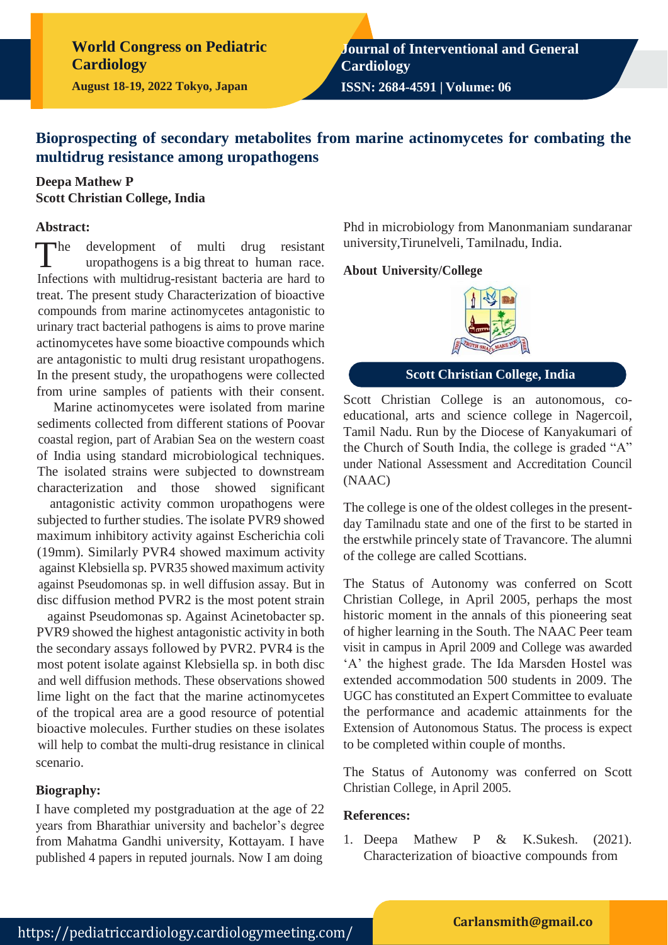**World Congress on Pediatric Cardiology**

**August 18-19, 2022 Tokyo, Japan**

**Journal of Interventional and General Cardiology**

**ISSN: 2684-4591 | Volume: 06**

## **Bioprospecting of secondary metabolites from marine actinomycetes for combating the multidrug resistance among uropathogens**

### **Deepa Mathew P Scott Christian College, India**

#### **Abstract:**

 $\n **The**\n$ development of multi drug resistant uropathogens is a big threat to human race. Infections with multidrug-resistant bacteria are hard to treat. The present study Characterization of bioactive compounds from marine actinomycetes antagonistic to urinary tract bacterial pathogens is aims to prove marine actinomycetes have some bioactive compounds which are antagonistic to multi drug resistant uropathogens. In the present study, the uropathogens were collected from urine samples of patients with their consent.

Marine actinomycetes were isolated from marine sediments collected from different stations of Poovar coastal region, part of Arabian Sea on the western coast of India using standard microbiological techniques. The isolated strains were subjected to downstream characterization and those showed significant

antagonistic activity common uropathogens were subjected to further studies. The isolate PVR9 showed maximum inhibitory activity against Escherichia coli (19mm). Similarly PVR4 showed maximum activity against Klebsiella sp. PVR35 showed maximum activity against Pseudomonas sp. in well diffusion assay. But in disc diffusion method PVR2 is the most potent strain

against Pseudomonas sp. Against Acinetobacter sp. PVR9 showed the highest antagonistic activity in both the secondary assays followed by PVR2. PVR4 is the most potent isolate against Klebsiella sp. in both disc and well diffusion methods. These observations showed lime light on the fact that the marine actinomycetes of the tropical area are a good resource of potential bioactive molecules. Further studies on these isolates will help to combat the multi-drug resistance in clinical scenario.

#### **Biography:**

I have completed my postgraduation at the age of 22 years from Bharathiar university and bachelor's degree from Mahatma Gandhi university, Kottayam. I have published 4 papers in reputed journals. Now I am doing

Phd in microbiology from Manonmaniam sundaranar university,Tirunelveli, Tamilnadu, India.

#### **About University/College**



**Scott Christian College, India**

Scott Christian College is an autonomous, coeducational, arts and science college in Nagercoil, Tamil Nadu. Run by the Diocese of Kanyakumari of the Church of South India, the college is graded "A" under National Assessment and Accreditation Council (NAAC)

The college is one of the oldest colleges in the presentday Tamilnadu state and one of the first to be started in the erstwhile princely state of Travancore. The alumni of the college are called Scottians.

The Status of Autonomy was conferred on Scott Christian College, in April 2005, perhaps the most historic moment in the annals of this pioneering seat of higher learning in the South. The NAAC Peer team visit in campus in April 2009 and College was awarded 'A' the highest grade. The Ida Marsden Hostel was extended accommodation 500 students in 2009. The UGC has constituted an Expert Committee to evaluate the performance and academic attainments for the Extension of Autonomous Status. The process is expect to be completed within couple of months.

The Status of Autonomy was conferred on Scott Christian College, in April 2005.

#### **References:**

1. Deepa Mathew P & K.Sukesh. (2021). Characterization of bioactive compounds from

#### **[Carlansmith@gmail.co](mailto:Carlansmith@gmail.com)**